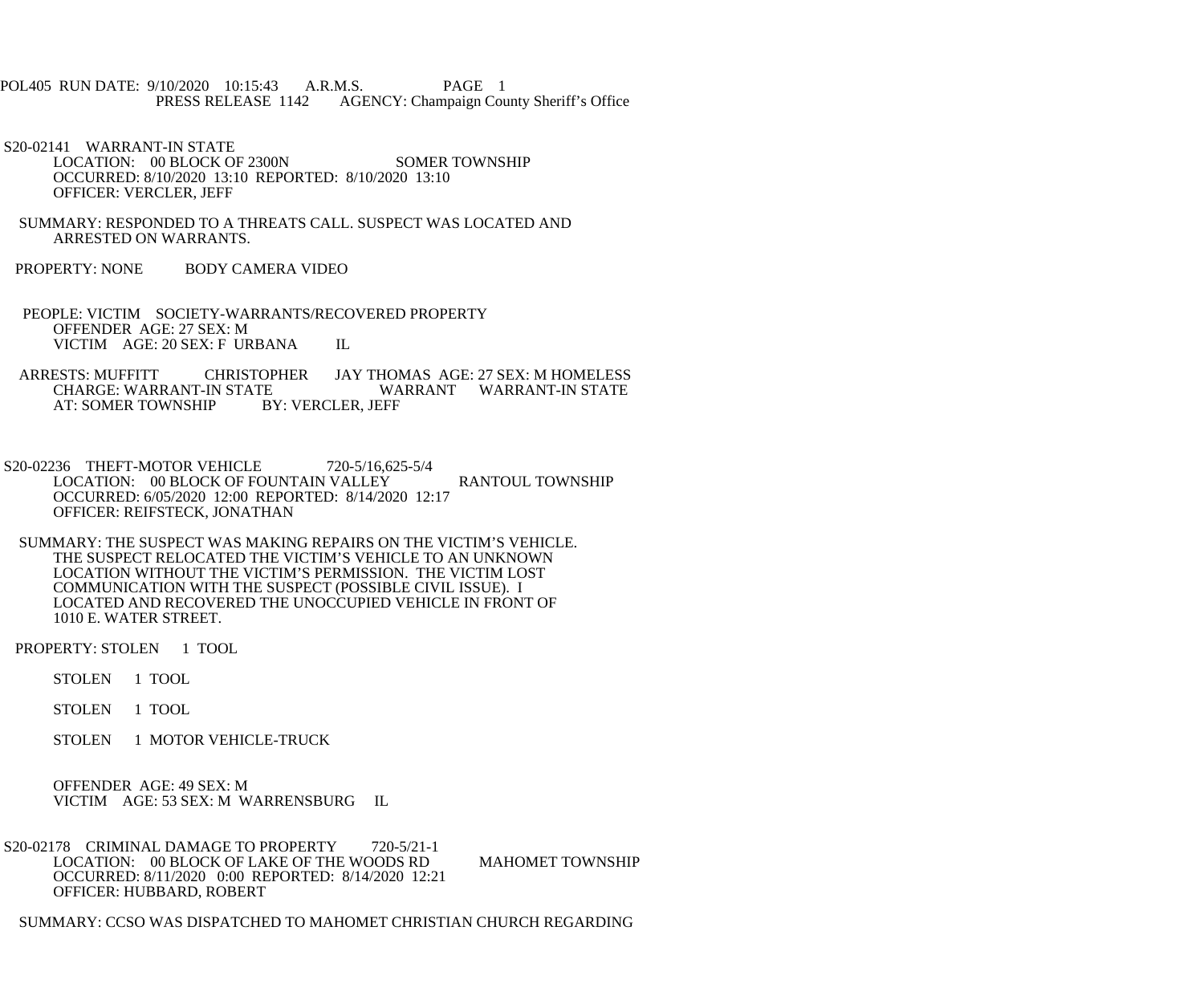## POL405 RUN DATE: 9/10/2020 10:15:43 A.R.M.S. PAGE 1<br>PRESS RELEASE 1142 AGENCY: Champaign Cou AGENCY: Champaign County Sheriff's Office

 S20-02141 WARRANT-IN STATE LOCATION: 00 BLOCK OF 2300N SOMER TOWNSHIP OCCURRED: 8/10/2020 13:10 REPORTED: 8/10/2020 13:10 OFFICER: VERCLER, JEFF

- SUMMARY: RESPONDED TO A THREATS CALL. SUSPECT WAS LOCATED AND ARRESTED ON WARRANTS.
- PROPERTY: NONE BODY CAMERA VIDEO
- PEOPLE: VICTIM SOCIETY-WARRANTS/RECOVERED PROPERTY OFFENDER AGE: 27 SEX: M VICTIM AGE: 20 SEX: F URBANA IL
- ARRESTS: MUFFITT CHRISTOPHER JAY THOMAS AGE: 27 SEX: M HOMELESS CHARGE: WARRANT-IN STATE WARRANT WARRANT-IN STATE TE WARRANT WARRANT-IN STATE<br>BY: VERCLER. JEFF AT: SOMER TOWNSHIP
- S20-02236 THEFT-MOTOR VEHICLE 720-5/16,625-5/4 LOCATION: 00 BLOCK OF FOUNTAIN VALLEY RANTOUL TOWNSHIP OCCURRED: 6/05/2020 12:00 REPORTED: 8/14/2020 12:17 OFFICER: REIFSTECK, JONATHAN
- SUMMARY: THE SUSPECT WAS MAKING REPAIRS ON THE VICTIM'S VEHICLE. THE SUSPECT RELOCATED THE VICTIM'S VEHICLE TO AN UNKNOWN LOCATION WITHOUT THE VICTIM'S PERMISSION. THE VICTIM LOST COMMUNICATION WITH THE SUSPECT (POSSIBLE CIVIL ISSUE). I LOCATED AND RECOVERED THE UNOCCUPIED VEHICLE IN FRONT OF 1010 E. WATER STREET.

PROPERTY: STOLEN 1 TOOL

- STOLEN 1 TOOL
- STOLEN 1 TOOL
- STOLEN 1 MOTOR VEHICLE-TRUCK

 OFFENDER AGE: 49 SEX: M VICTIM AGE: 53 SEX: M WARRENSBURG IL

S20-02178 CRIMINAL DAMAGE TO PROPERTY 720-5/21-1 LOCATION: 00 BLOCK OF LAKE OF THE WOODS RD MAHOMET TOWNSHIP OCCURRED: 8/11/2020 0:00 REPORTED: 8/14/2020 12:21 OFFICER: HUBBARD, ROBERT

SUMMARY: CCSO WAS DISPATCHED TO MAHOMET CHRISTIAN CHURCH REGARDING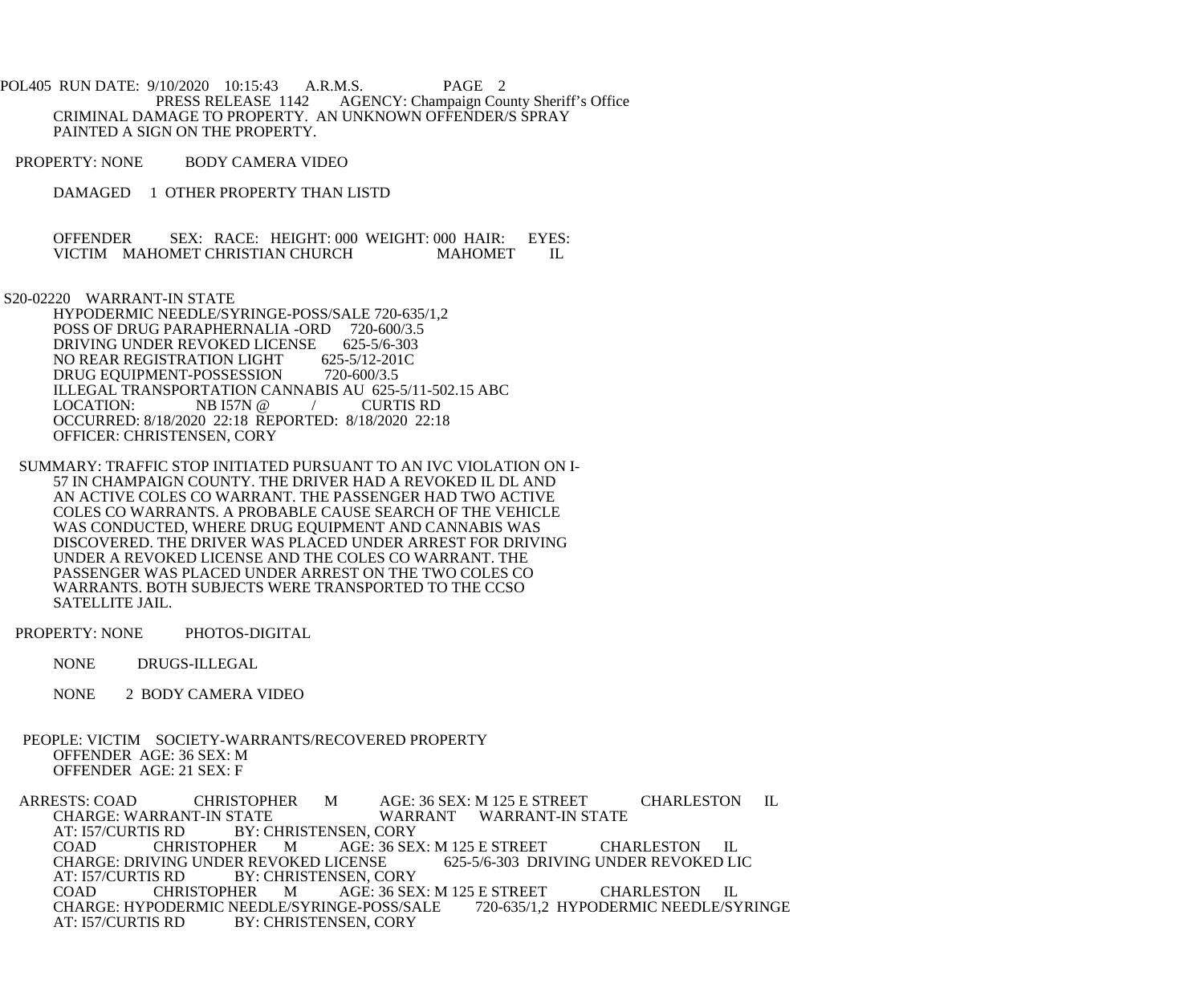POL405 RUN DATE: 9/10/2020 10:15:43 A.R.M.S. PAGE 2<br>PRESS RELEASE 1142 AGENCY: Champaign Cou AGENCY: Champaign County Sheriff's Office CRIMINAL DAMAGE TO PROPERTY. AN UNKNOWN OFFENDER/S SPRAY PAINTED A SIGN ON THE PROPERTY.

- PROPERTY: NONE BODY CAMERA VIDEO
	- DAMAGED 1 OTHER PROPERTY THAN LISTD

OFFENDER SEX: RACE: HEIGHT: 000 WEIGHT: 000 HAIR: EYES: VICTIM MAHOMET CHRISTIAN CHURCH MAHOMET IL VICTIM MAHOMET CHRISTIAN CHURCH MAHOMET IL

S20-02220 WARRANT-IN STATE

 HYPODERMIC NEEDLE/SYRINGE-POSS/SALE 720-635/1,2 POSS OF DRUG PARAPHERNALIA -ORD 720-600/3.5 DRIVING UNDER REVOKED LICENSE 625-5/6-303<br>NO REAR REGISTRATION LIGHT 625-5/12-201C NO REAR REGISTRATION LIGHT 625-5/12-201<br>DRUG EOUIPMENT-POSSESSION 720-600/3.5 DRUG EQUIPMENT-POSSESSION ILLEGAL TRANSPORTATION CANNABIS AU 625-5/11-502.15 ABC<br>LOCATION: NB I57N @ / CURTIS RD LOCATION:  $NB I57N @ 7$  OCCURRED: 8/18/2020 22:18 REPORTED: 8/18/2020 22:18 OFFICER: CHRISTENSEN, CORY

 SUMMARY: TRAFFIC STOP INITIATED PURSUANT TO AN IVC VIOLATION ON I- 57 IN CHAMPAIGN COUNTY. THE DRIVER HAD A REVOKED IL DL AND AN ACTIVE COLES CO WARRANT. THE PASSENGER HAD TWO ACTIVE COLES CO WARRANTS. A PROBABLE CAUSE SEARCH OF THE VEHICLE WAS CONDUCTED, WHERE DRUG EQUIPMENT AND CANNABIS WAS DISCOVERED. THE DRIVER WAS PLACED UNDER ARREST FOR DRIVING UNDER A REVOKED LICENSE AND THE COLES CO WARRANT. THE PASSENGER WAS PLACED UNDER ARREST ON THE TWO COLES CO WARRANTS. BOTH SUBJECTS WERE TRANSPORTED TO THE CCSO SATELLITE JAIL.

PROPERTY: NONE PHOTOS-DIGITAL

NONE DRUGS-ILLEGAL

NONE 2 BODY CAMERA VIDEO

 PEOPLE: VICTIM SOCIETY-WARRANTS/RECOVERED PROPERTY OFFENDER AGE: 36 SEX: M OFFENDER AGE: 21 SEX: F

ARRESTS: COAD CHRISTOPHER M AGE: 36 SEX: M 125 E STREET CHARLESTON IL CHARGE: WARRANT WARRANT WARRANT-IN STATE CHARGE: WARRANT-IN STATE WARRANT WARRANT-IN STATE<br>AT: 157/CURTIS RD BY: CHRISTENSEN. CORY BY: CHRISTENSEN, CORY COAD CHRISTOPHER M AGE: 36 SEX: M 125 E STREET CHARLESTON IL<br>CHARGE: DRIVING UNDER REVOKED LICENSE 625-5/6-303 DRIVING UNDER REVOKED LIC CHARGE: DRIVING UNDER REVOKED LICENSE<br>AT: 157/CURTIS RD BY: CHRISTENSEN, CO AT: 157/CURTIS RD BY: CHRISTENSEN, CORY<br>COAD CHRISTOPHER M AGE: 36 SE AGE: 36 SEX: M 125 E STREET CHARLESTON IL<br>GE-POSS/SALE 720-635/1,2 HYPODERMIC NEEDLE/SYRINGE CHARGE: HYPODERMIC NEEDLE/SYRINGE-POSS/SALE<br>AT: 157/CURTIS RD BY: CHRISTENSEN, CORY BY: CHRISTENSEN, CORY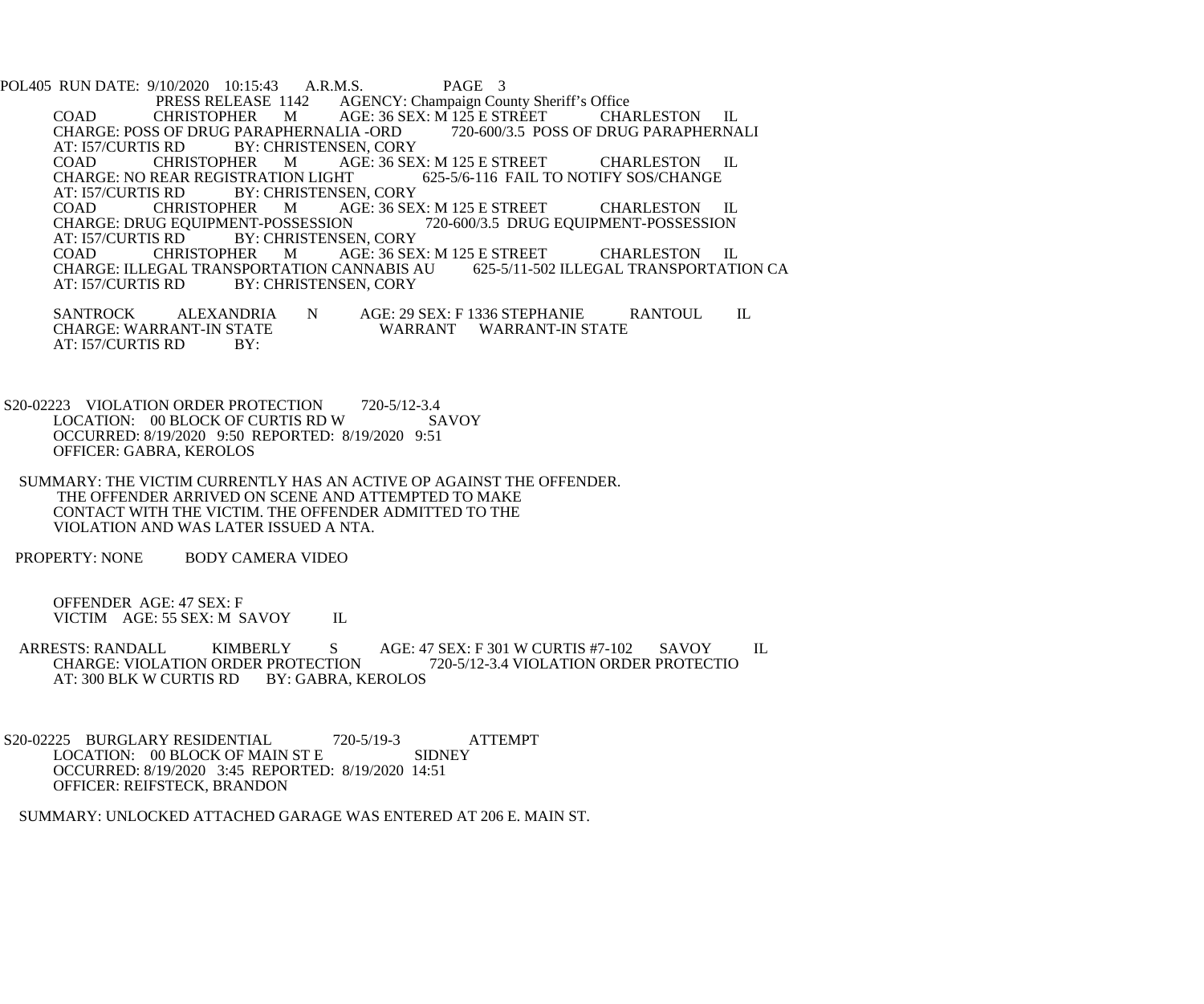POL405 RUN DATE: 9/10/2020 10:15:43 A.R.M.S. PAGE 3<br>PRESS RELEASE 1142 AGENCY: Champaign Cou PRESS RELEASE 1142 AGENCY: Champaign County Sheriff's Office<br>CHRISTOPHER M AGE: 36 SEX: M 125 E STREET CHA COAD CHRISTOPHER M AGE: 36 SEX: M 125 E STREET CHARLESTON IL<br>CHARGE: POSS OF DRUG PARAPHERNALIA -ORD 720-600/3.5 POSS OF DRUG PARAPHERNALI CHARGE: POSS OF DRUG PARAPHERNALIA -ORD<br>AT: 157/CURTIS RD BY: CHRISTENSEN, COR S RD BY: CHRISTENSEN, CORY<br>CHRISTOPHER M AGE: 36 SE COAD CHRISTOPHER M AGE: 36 SEX: M 125 E STREET CHARLESTON IL<br>CHARGE: NO REAR REGISTRATION LIGHT 625-5/6-116 FAIL TO NOTIFY SOS/CHANGE CHARGE: NO REAR REGISTRATION LIGHT<br>AT: 157/CURTIS RD BY: CHRISTENSE AT: 157/CURTIS RD BY: CHRISTENSEN, CORY<br>COAD CHRISTOPHER M AGE: 36 SE COAD CHRISTOPHER M AGE: 36 SEX: M 125 E STREET CHARLESTON IL CHARGE: DRUG EQUIPMENT-POSSESSION 720-600/3.5 DRUG EQUIPMENT-POSSESSION CHARGE: DRUG EQUIPMENT-POSSESSION 720-600/3.5 DRUG EQUIPMENT-POSSESSION<br>AT: 157/CURTIS RD BY: CHRISTENSEN. CORY S RD BY: CHRISTENSEN, CORY<br>CHRISTOPHER M AGE: 36 SE. COAD CHRISTOPHER M AGE: 36 SEX: M 125 E STREET CHARLESTON IL<br>CHARGE: ILLEGAL TRANSPORTATION CANNABIS AU 625-5/11-502 ILLEGAL TRANSPORTATION CA CHARGE: ILLEGAL TRANSPORTATION CANNABIS AU<br>AT: 157/CURTIS RD BY: CHRISTENSEN. CORY BY: CHRISTENSEN, CORY SANTROCK ALEXANDRIA N AGE: 29 SEX: F 1336 STEPHANIE RANTOUL IL CHARGE: WARRANT WARRANT IN STATE WARRANT WARRANT-IN STATE

S20-02223 VIOLATION ORDER PROTECTION 720-5/12-3.4<br>LOCATION: 00 BLOCK OF CURTIS RD W SAVOY LOCATION: 00 BLOCK OF CURTIS RD W OCCURRED: 8/19/2020 9:50 REPORTED: 8/19/2020 9:51 OFFICER: GABRA, KEROLOS

 SUMMARY: THE VICTIM CURRENTLY HAS AN ACTIVE OP AGAINST THE OFFENDER. THE OFFENDER ARRIVED ON SCENE AND ATTEMPTED TO MAKE CONTACT WITH THE VICTIM. THE OFFENDER ADMITTED TO THE VIOLATION AND WAS LATER ISSUED A NTA.

PROPERTY: NONE BODY CAMERA VIDEO

AT: 157/CURTIS RD BY:

 OFFENDER AGE: 47 SEX: F VICTIM AGE: 55 SEX: M SAVOY IL

ARRESTS: RANDALL KIMBERLY S AGE: 47 SEX: F 301 W CURTIS #7-102 SAVOY IL CHARGE: VIOLATION ORDER PROTECTION 720-5/12-3.4 VIOLATION ORDER PROTECTIO R PROTECTION 720-5/12-3.4 VIOLATION ORDER PROTECTION<br>BY: GABRA. KEROLOS AT: 300 BLK W CURTIS RD

S20-02225 BURGLARY RESIDENTIAL 720-5/19-3 ATTEMPT<br>LOCATION: 00 BLOCK OF MAIN ST E SIDNEY LOCATION: 00 BLOCK OF MAIN ST E OCCURRED: 8/19/2020 3:45 REPORTED: 8/19/2020 14:51 OFFICER: REIFSTECK, BRANDON

SUMMARY: UNLOCKED ATTACHED GARAGE WAS ENTERED AT 206 E. MAIN ST.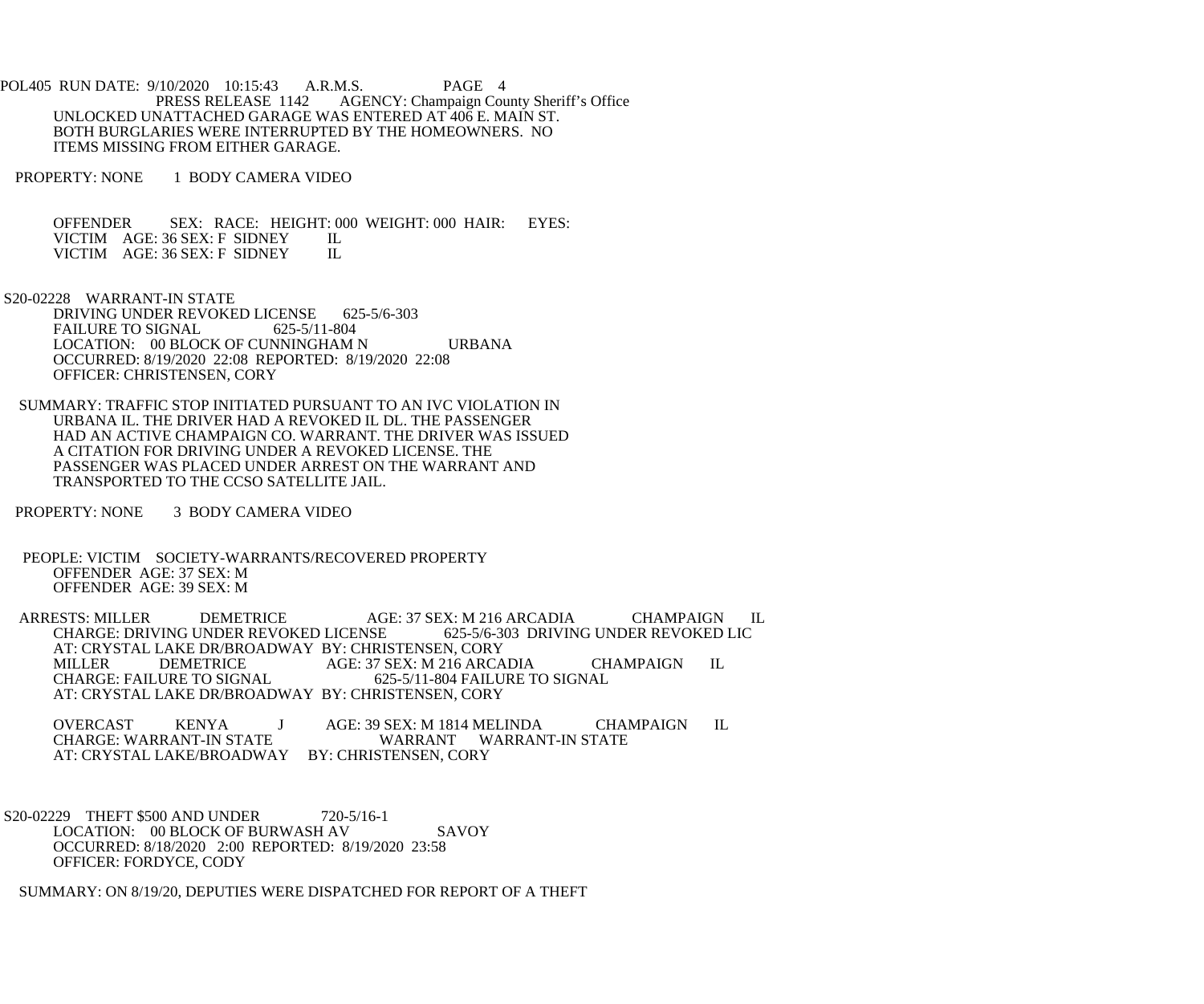POL405 RUN DATE: 9/10/2020 10:15:43 A.R.M.S. PAGE 4<br>PRESS RELEASE 1142 AGENCY: Champaign Cou AGENCY: Champaign County Sheriff's Office UNLOCKED UNATTACHED GARAGE WAS ENTERED AT 406 E. MAIN ST. BOTH BURGLARIES WERE INTERRUPTED BY THE HOMEOWNERS. NO ITEMS MISSING FROM EITHER GARAGE.

PROPERTY: NONE 1 BODY CAMERA VIDEO

 OFFENDER SEX: RACE: HEIGHT: 000 WEIGHT: 000 HAIR: EYES: VICTIM AGE: 36 SEX: F SIDNEY IL<br>VICTIM AGE: 36 SEX: F SIDNEY IL VICTIM AGE: 36 SEX: F SIDNEY

S20-02228 WARRANT-IN STATE

DRIVING UNDER REVOKED LICENSE 625-5/6-303<br>FAILURE TO SIGNAL 625-5/11-804 FAILURE TO SIGNAL LOCATION: 00 BLOCK OF CUNNINGHAM N URBANA OCCURRED: 8/19/2020 22:08 REPORTED: 8/19/2020 22:08 OFFICER: CHRISTENSEN, CORY

 SUMMARY: TRAFFIC STOP INITIATED PURSUANT TO AN IVC VIOLATION IN URBANA IL. THE DRIVER HAD A REVOKED IL DL. THE PASSENGER HAD AN ACTIVE CHAMPAIGN CO. WARRANT. THE DRIVER WAS ISSUED A CITATION FOR DRIVING UNDER A REVOKED LICENSE. THE PASSENGER WAS PLACED UNDER ARREST ON THE WARRANT AND TRANSPORTED TO THE CCSO SATELLITE JAIL.

PROPERTY: NONE 3 BODY CAMERA VIDEO

 PEOPLE: VICTIM SOCIETY-WARRANTS/RECOVERED PROPERTY OFFENDER AGE: 37 SEX: M OFFENDER AGE: 39 SEX: M

ARRESTS: MILLER DEMETRICE AGE: 37 SEX: M 216 ARCADIA CHAMPAIGN IL<br>CHARGE: DRIVING UNDER REVOKED LICENSE 625-5/6-303 DRIVING UNDER REVOKED LIC CHARGE: DRIVING UNDER REVOKED LICENSE AT: CRYSTAL LAKE DR/BROADWAY BY: CHRISTENSEN, CORY<br>MILLER DEMETRICE AGE: 37 SEX: M 216 ARCA MILLER DEMETRICE AGE: 37 SEX: M 216 ARCADIA CHAMPAIGN IL<br>CHARGE: FAILURE TO SIGNAL 625-5/11-804 FAILURE TO SIGNAL 625-5/11-804 FAILURE TO SIGNAL AT: CRYSTAL LAKE DR/BROADWAY BY: CHRISTENSEN, CORY

OVERCAST KENYA J AGE: 39 SEX: M 1814 MELINDA CHAMPAIGN IL CHARGE: WARRANT-IN STATE WARRANT WARRANT-IN STATE AT: CRYSTAL LAKE/BROADWAY BY: CHRISTENSEN, CORY

S20-02229 THEFT \$500 AND UNDER 720-5/16-1 LOCATION: 00 BLOCK OF BURWASH AV SAVOY OCCURRED: 8/18/2020 2:00 REPORTED: 8/19/2020 23:58 OFFICER: FORDYCE, CODY

SUMMARY: ON 8/19/20, DEPUTIES WERE DISPATCHED FOR REPORT OF A THEFT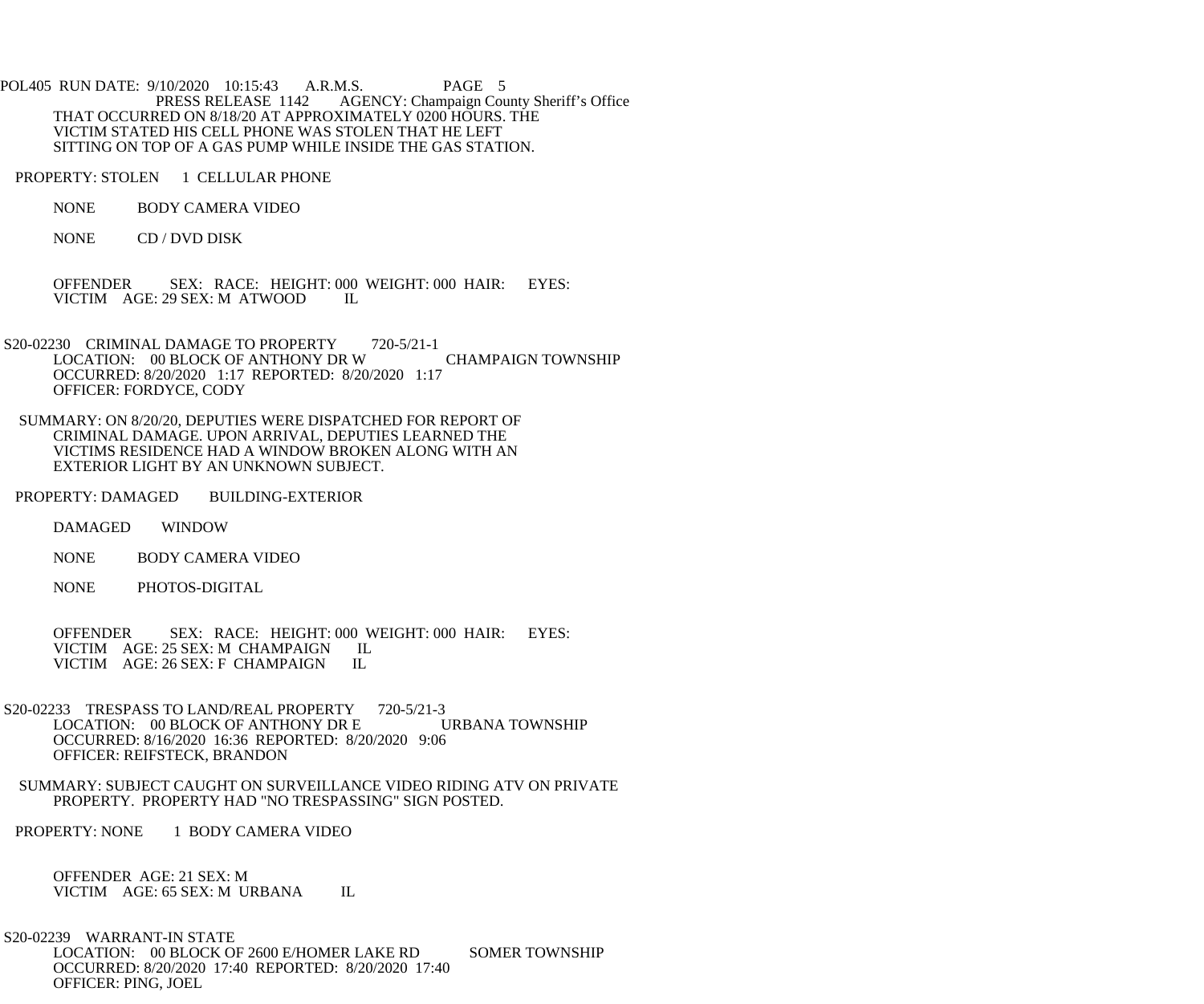POL405 RUN DATE: 9/10/2020 10:15:43 A.R.M.S. PAGE 5<br>PRESS RELEASE 1142 AGENCY: Champaign Cou AGENCY: Champaign County Sheriff's Office THAT OCCURRED ON 8/18/20 AT APPROXIMATELY 0200 HOURS. THE VICTIM STATED HIS CELL PHONE WAS STOLEN THAT HE LEFT SITTING ON TOP OF A GAS PUMP WHILE INSIDE THE GAS STATION.

PROPERTY: STOLEN 1 CELLULAR PHONE

NONE BODY CAMERA VIDEO

NONE CD / DVD DISK

OFFENDER SEX: RACE: HEIGHT: 000 WEIGHT: 000 HAIR: EYES:<br>VICTIM AGE: 29 SEX: M ATWOOD IL VICTIM AGE: 29 SEX: M ATWOOD

S20-02230 CRIMINAL DAMAGE TO PROPERTY 720-5/21-1 LOCATION: 00 BLOCK OF ANTHONY DR W CHAMPAIGN TOWNSHIP OCCURRED: 8/20/2020 1:17 REPORTED: 8/20/2020 1:17 OFFICER: FORDYCE, CODY

 SUMMARY: ON 8/20/20, DEPUTIES WERE DISPATCHED FOR REPORT OF CRIMINAL DAMAGE. UPON ARRIVAL, DEPUTIES LEARNED THE VICTIMS RESIDENCE HAD A WINDOW BROKEN ALONG WITH AN EXTERIOR LIGHT BY AN UNKNOWN SUBJECT.

PROPERTY: DAMAGED BUILDING-EXTERIOR

DAMAGED WINDOW

NONE BODY CAMERA VIDEO

NONE PHOTOS-DIGITAL

 OFFENDER SEX: RACE: HEIGHT: 000 WEIGHT: 000 HAIR: EYES: VICTIM AGE: 25 SEX: M CHAMPAIGN IL<br>VICTIM AGE: 26 SEX: F CHAMPAIGN IL VICTIM AGE: 26 SEX: F CHAMPAIGN

S20-02233 TRESPASS TO LAND/REAL PROPERTY 720-5/21-3<br>LOCATION: 00 BLOCK OF ANTHONY DR E URBANA TOWNSHIP LOCATION: 00 BLOCK OF ANTHONY DR E OCCURRED: 8/16/2020 16:36 REPORTED: 8/20/2020 9:06 OFFICER: REIFSTECK, BRANDON

 SUMMARY: SUBJECT CAUGHT ON SURVEILLANCE VIDEO RIDING ATV ON PRIVATE PROPERTY. PROPERTY HAD "NO TRESPASSING" SIGN POSTED.

PROPERTY: NONE 1 BODY CAMERA VIDEO

 OFFENDER AGE: 21 SEX: M VICTIM AGE: 65 SEX: M URBANA IL

 S20-02239 WARRANT-IN STATE LOCATION: 00 BLOCK OF 2600 E/HOMER LAKE RD SOMER TOWNSHIP OCCURRED: 8/20/2020 17:40 REPORTED: 8/20/2020 17:40 OFFICER: PING, JOEL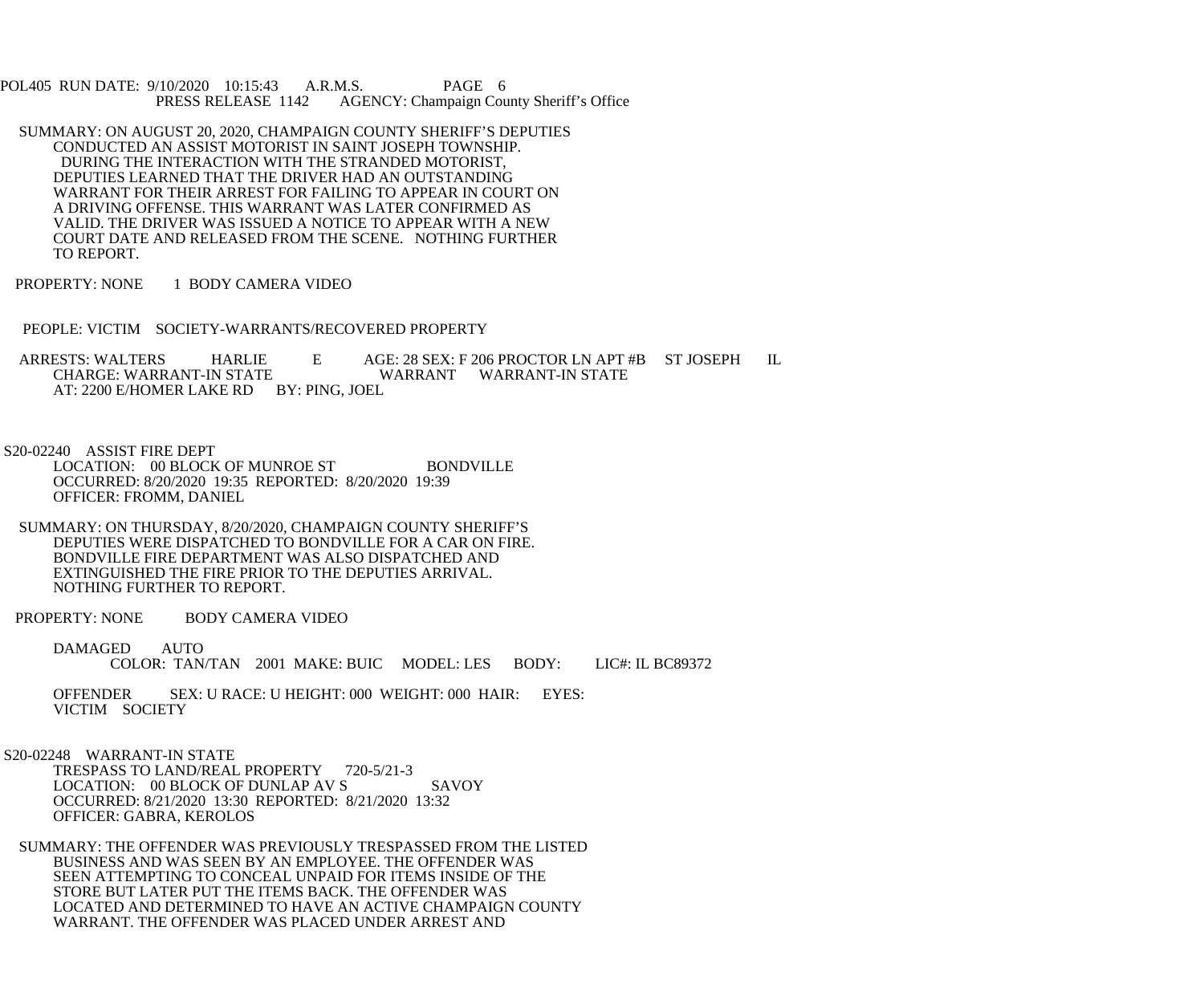POL405 RUN DATE: 9/10/2020 10:15:43 A.R.M.S. PAGE 6<br>PRESS RELEASE 1142 AGENCY: Champaign Cou AGENCY: Champaign County Sheriff's Office

- SUMMARY: ON AUGUST 20, 2020, CHAMPAIGN COUNTY SHERIFF'S DEPUTIES CONDUCTED AN ASSIST MOTORIST IN SAINT JOSEPH TOWNSHIP. DURING THE INTERACTION WITH THE STRANDED MOTORIST, DEPUTIES LEARNED THAT THE DRIVER HAD AN OUTSTANDING WARRANT FOR THEIR ARREST FOR FAILING TO APPEAR IN COURT ON A DRIVING OFFENSE. THIS WARRANT WAS LATER CONFIRMED AS VALID. THE DRIVER WAS ISSUED A NOTICE TO APPEAR WITH A NEW COURT DATE AND RELEASED FROM THE SCENE. NOTHING FURTHER TO REPORT.
- PROPERTY: NONE 1 BODY CAMERA VIDEO
- PEOPLE: VICTIM SOCIETY-WARRANTS/RECOVERED PROPERTY

ARRESTS: WALTERS HARLIE E AGE: 28 SEX: F 206 PROCTOR LN APT #B ST JOSEPH IL<br>CHARGE: WARRANT-IN STATE WARRANT WARRANT-IN STATE WARRANT WARRANT-IN STATE AT: 2200 E/HOMER LAKE RD BY: PING, JOEL

S20-02240 ASSIST FIRE DEPT

LOCATION: 00 BLOCK OF MUNROE ST BONDVILLE OCCURRED: 8/20/2020 19:35 REPORTED: 8/20/2020 19:39 OFFICER: FROMM, DANIEL

 SUMMARY: ON THURSDAY, 8/20/2020, CHAMPAIGN COUNTY SHERIFF'S DEPUTIES WERE DISPATCHED TO BONDVILLE FOR A CAR ON FIRE. BONDVILLE FIRE DEPARTMENT WAS ALSO DISPATCHED AND EXTINGUISHED THE FIRE PRIOR TO THE DEPUTIES ARRIVAL. NOTHING FURTHER TO REPORT.

PROPERTY: NONE BODY CAMERA VIDEO

 DAMAGED AUTO COLOR: TAN/TAN 2001 MAKE: BUIC MODEL: LES BODY: LIC#: IL BC89372

 OFFENDER SEX: U RACE: U HEIGHT: 000 WEIGHT: 000 HAIR: EYES: VICTIM SOCIETY

 S20-02248 WARRANT-IN STATE TRESPASS TO LAND/REAL PROPERTY 720-5/21-3 LOCATION: 00 BLOCK OF DUNLAP AV S SAVOY OCCURRED: 8/21/2020 13:30 REPORTED: 8/21/2020 13:32 OFFICER: GABRA, KEROLOS

 SUMMARY: THE OFFENDER WAS PREVIOUSLY TRESPASSED FROM THE LISTED BUSINESS AND WAS SEEN BY AN EMPLOYEE. THE OFFENDER WAS SEEN ATTEMPTING TO CONCEAL UNPAID FOR ITEMS INSIDE OF THE STORE BUT LATER PUT THE ITEMS BACK. THE OFFENDER WAS LOCATED AND DETERMINED TO HAVE AN ACTIVE CHAMPAIGN COUNTY WARRANT. THE OFFENDER WAS PLACED UNDER ARREST AND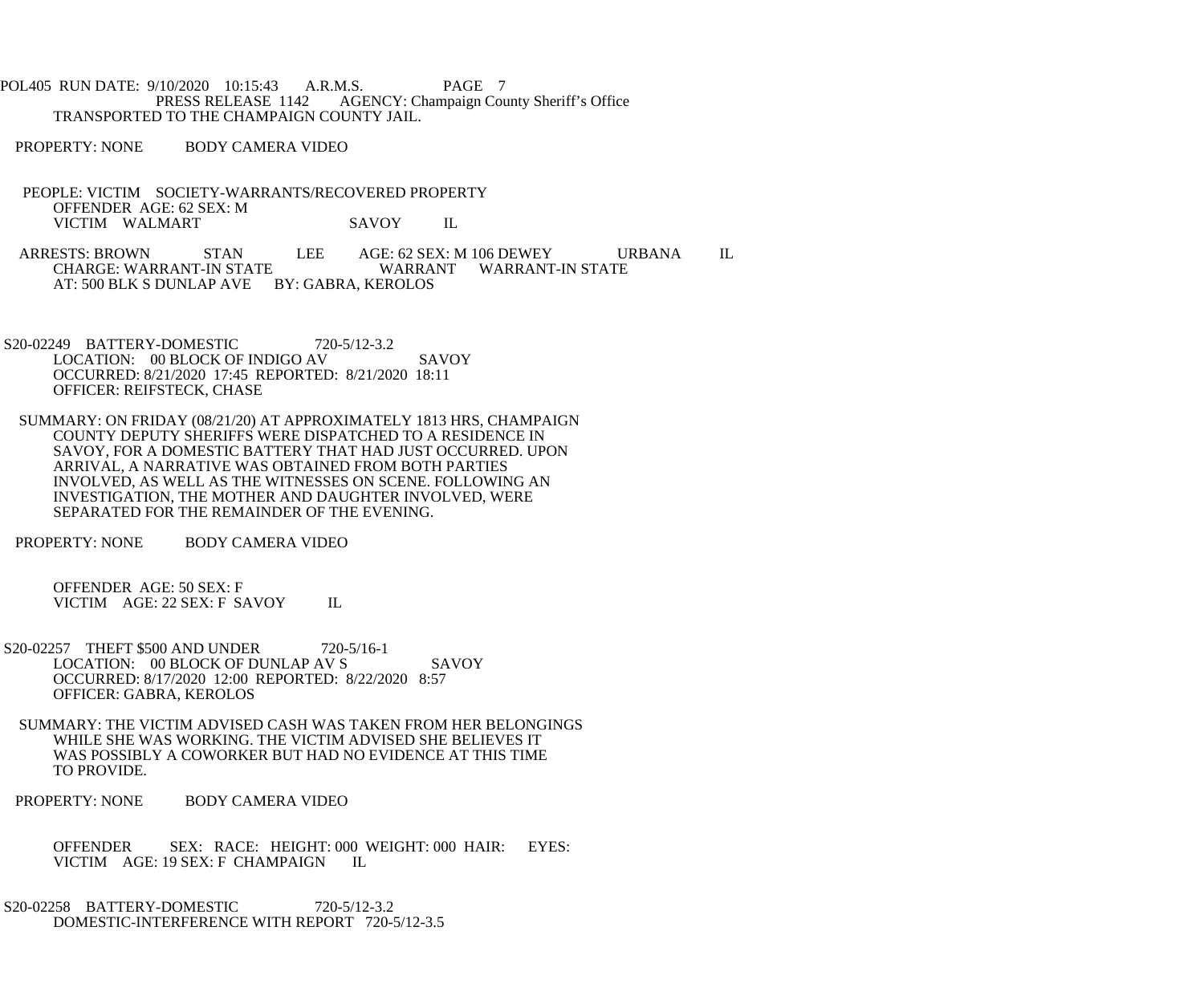POL405 RUN DATE: 9/10/2020 10:15:43 A.R.M.S. PAGE 7<br>PRESS RELEASE 1142 AGENCY: Champaign Cou AGENCY: Champaign County Sheriff's Office TRANSPORTED TO THE CHAMPAIGN COUNTY JAIL.

PROPERTY: NONE BODY CAMERA VIDEO

 PEOPLE: VICTIM SOCIETY-WARRANTS/RECOVERED PROPERTY OFFENDER AGE: 62 SEX: M VICTIM WALMART SAVOY IL

ARRESTS: BROWN STAN LEE AGE: 62 SEX: M 106 DEWEY URBANA IL CHARGE: WARRANT-IN STATE WARRANT WARRANT-IN STATE WARRANT WARRANT-IN STATE AT: 500 BLK S DUNLAP AVE BY: GABRA, KEROLOS

- S20-02249 BATTERY-DOMESTIC 720-5/12-3.2 LOCATION: 00 BLOCK OF INDIGO AV SAVOY OCCURRED: 8/21/2020 17:45 REPORTED: 8/21/2020 18:11 OFFICER: REIFSTECK, CHASE
- SUMMARY: ON FRIDAY (08/21/20) AT APPROXIMATELY 1813 HRS, CHAMPAIGN COUNTY DEPUTY SHERIFFS WERE DISPATCHED TO A RESIDENCE IN SAVOY, FOR A DOMESTIC BATTERY THAT HAD JUST OCCURRED. UPON ARRIVAL, A NARRATIVE WAS OBTAINED FROM BOTH PARTIES INVOLVED, AS WELL AS THE WITNESSES ON SCENE. FOLLOWING AN INVESTIGATION, THE MOTHER AND DAUGHTER INVOLVED, WERE SEPARATED FOR THE REMAINDER OF THE EVENING.

PROPERTY: NONE BODY CAMERA VIDEO

 OFFENDER AGE: 50 SEX: F VICTIM AGE: 22 SEX: F SAVOY IL

- S20-02257 THEFT \$500 AND UNDER 720-5/16-1 LOCATION: 00 BLOCK OF DUNLAP AV S SAVOY OCCURRED: 8/17/2020 12:00 REPORTED: 8/22/2020 8:57 OFFICER: GABRA, KEROLOS
- SUMMARY: THE VICTIM ADVISED CASH WAS TAKEN FROM HER BELONGINGS WHILE SHE WAS WORKING. THE VICTIM ADVISED SHE BELIEVES IT WAS POSSIBLY A COWORKER BUT HAD NO EVIDENCE AT THIS TIME TO PROVIDE.
- PROPERTY: NONE BODY CAMERA VIDEO
	- OFFENDER SEX: RACE: HEIGHT: 000 WEIGHT: 000 HAIR: EYES: VICTIM AGE: 19 SEX: F CHAMPAIGN IL
- S20-02258 BATTERY-DOMESTIC 720-5/12-3.2 DOMESTIC-INTERFERENCE WITH REPORT 720-5/12-3.5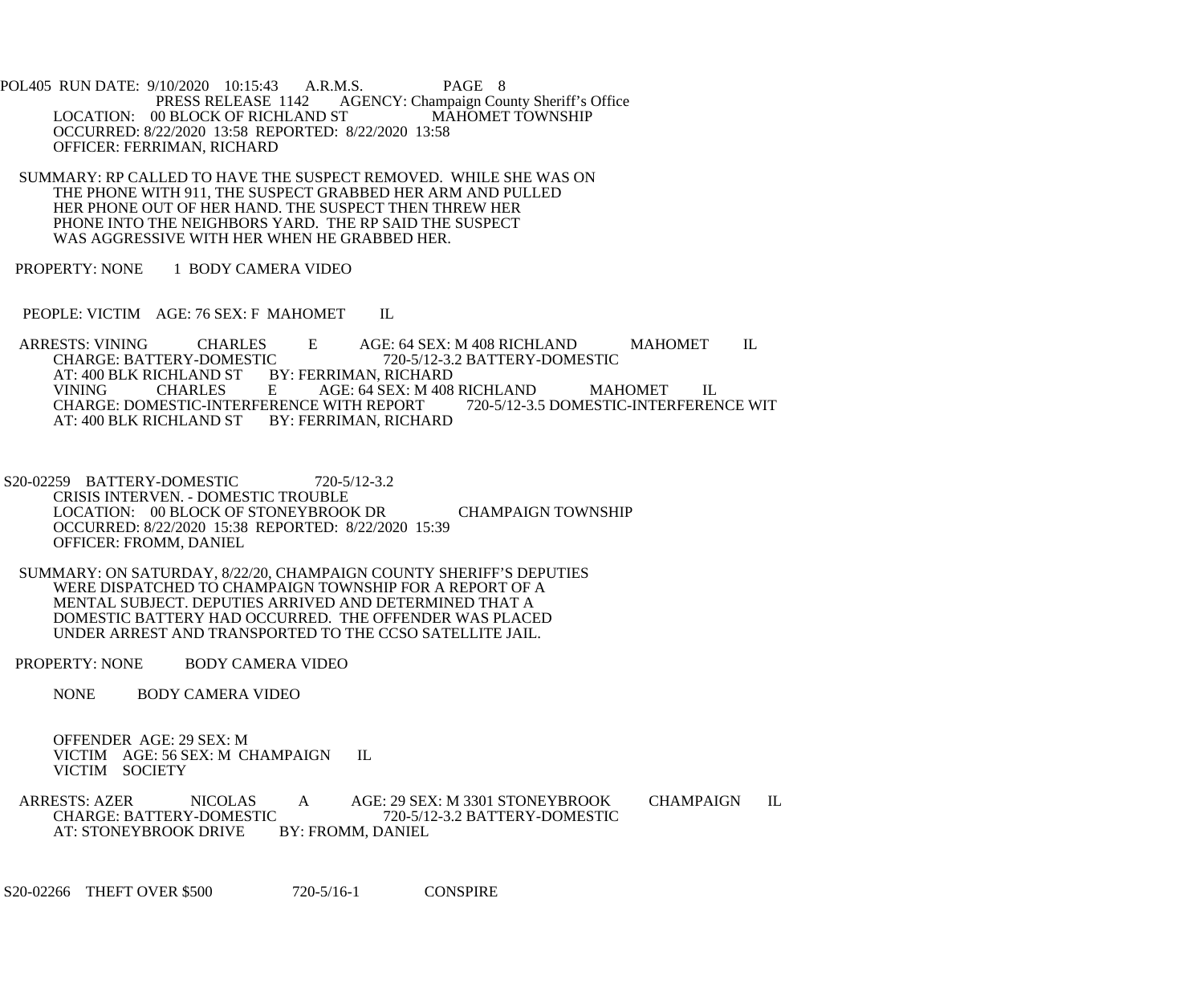POL405 RUN DATE: 9/10/2020 10:15:43 A.R.M.S. PAGE 8<br>PRESS RELEASE 1142 AGENCY: Champaign Cou AGENCY: Champaign County Sheriff's Office<br>
FIGURE 1142 MAHOMET TOWNSHIP LOCATION: 00 BLOCK OF RICHLAND ST OCCURRED: 8/22/2020 13:58 REPORTED: 8/22/2020 13:58 OFFICER: FERRIMAN, RICHARD

 SUMMARY: RP CALLED TO HAVE THE SUSPECT REMOVED. WHILE SHE WAS ON THE PHONE WITH 911, THE SUSPECT GRABBED HER ARM AND PULLED HER PHONE OUT OF HER HAND. THE SUSPECT THEN THREW HER PHONE INTO THE NEIGHBORS YARD. THE RP SAID THE SUSPECT WAS AGGRESSIVE WITH HER WHEN HE GRABBED HER.

PROPERTY: NONE 1 BODY CAMERA VIDEO

PEOPLE: VICTIM AGE: 76 SEX: F MAHOMET IL

ARRESTS: VINING CHARLES E AGE: 64 SEX: M 408 RICHLAND MAHOMET IL CHARGE: BATTERY-DOMESTIC 720-5/12-3.2 BATTERY-DOMESTIC IC 720-5/12-3.2 BATTERY-DOMESTIC<br>BY: FERRIMAN, RICHARD AT: 400 BLK RICHLAND ST BY: FERRIMAN, RICHARD AGE: 64 SEX: M 408 RICHLAND MAHOMET IL<br>UNITH REPORT 720-5/12-3.5 DOMESTIC-INTERFERENCE WIT CHARGE: DOMESTIC-INTERFERENCE WITH REPORT<br>AT: 400 BLK RICHLAND ST BY: FERRIMAN, RICHARD AT: 400 BLK RICHLAND ST

 S20-02259 BATTERY-DOMESTIC 720-5/12-3.2 CRISIS INTERVEN. - DOMESTIC TROUBLE LOCATION: 00 BLOCK OF STONEYBROOK DR CHAMPAIGN TOWNSHIP OCCURRED: 8/22/2020 15:38 REPORTED: 8/22/2020 15:39 OFFICER: FROMM, DANIEL

 SUMMARY: ON SATURDAY, 8/22/20, CHAMPAIGN COUNTY SHERIFF'S DEPUTIES WERE DISPATCHED TO CHAMPAIGN TOWNSHIP FOR A REPORT OF A MENTAL SUBJECT. DEPUTIES ARRIVED AND DETERMINED THAT A DOMESTIC BATTERY HAD OCCURRED. THE OFFENDER WAS PLACED UNDER ARREST AND TRANSPORTED TO THE CCSO SATELLITE JAIL.

PROPERTY: NONE BODY CAMERA VIDEO

NONE BODY CAMERA VIDEO

 OFFENDER AGE: 29 SEX: M VICTIM AGE: 56 SEX: M CHAMPAIGN IL VICTIM SOCIETY

ARRESTS: AZER NICOLAS A AGE: 29 SEX: M 3301 STONEYBROOK CHAMPAIGN IL<br>CHARGE: BATTERY-DOMESTIC 720-5/12-3.2 BATTERY-DOMESTIC T20-5/12-3.2 BATTERY-DOMESTIC<br>BY: FROMM, DANIEL AT: STONEYBROOK DRIVE

S20-02266 THEFT OVER \$500 720-5/16-1 CONSPIRE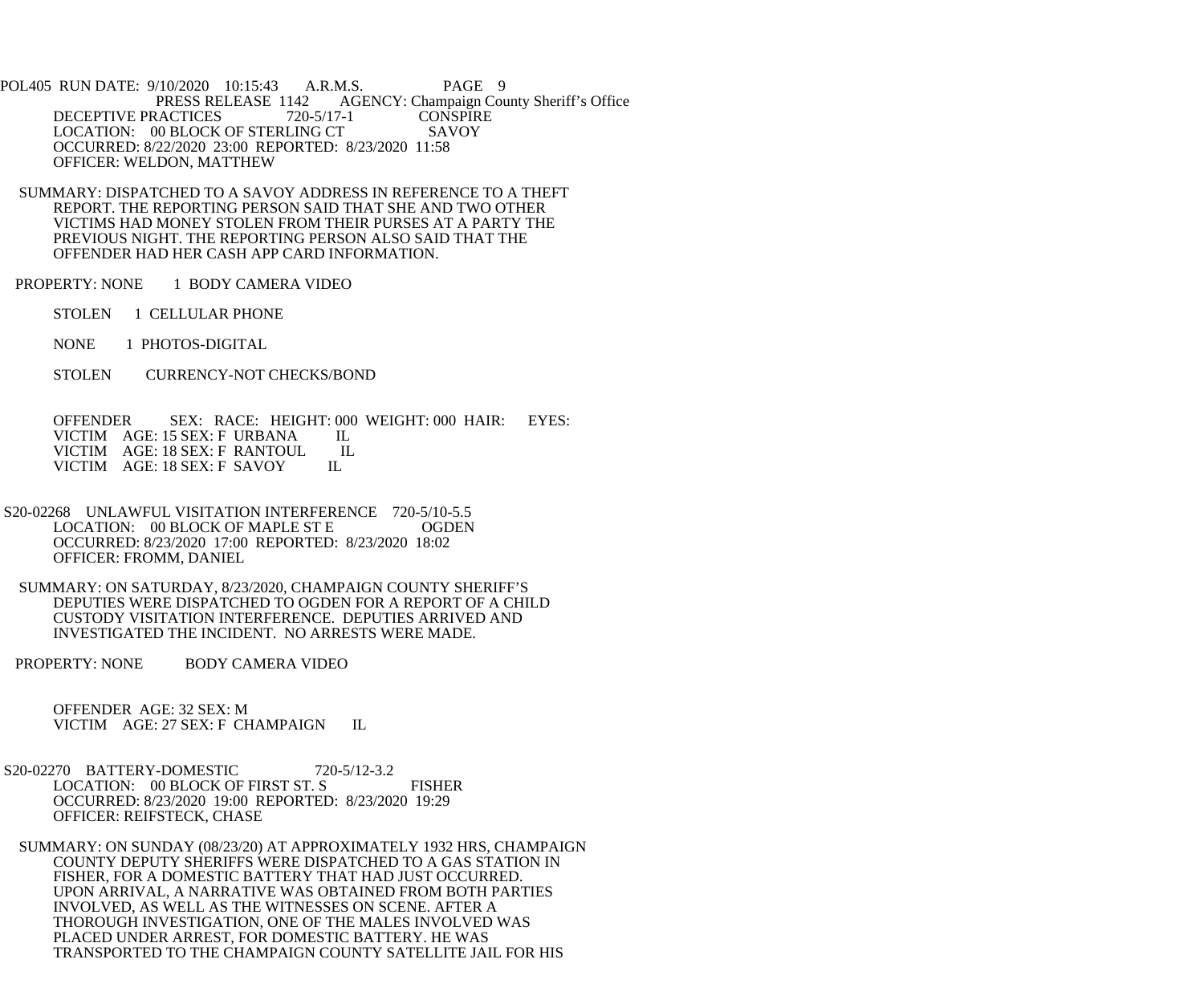POL405 RUN DATE: 9/10/2020 10:15:43 A.R.M.S. PAGE 9<br>PRESS RELEASE 1142 AGENCY: Champaign Cou AGENCY: Champaign County Sheriff's Office DECEPTIVE PRACTICES 720-5/17-1 CONSPIRE<br>LOCATION: 00 BLOCK OF STERLING CT SAVOY LOCATION: 00 BLOCK OF STERLING CT OCCURRED: 8/22/2020 23:00 REPORTED: 8/23/2020 11:58 OFFICER: WELDON, MATTHEW

 SUMMARY: DISPATCHED TO A SAVOY ADDRESS IN REFERENCE TO A THEFT REPORT. THE REPORTING PERSON SAID THAT SHE AND TWO OTHER VICTIMS HAD MONEY STOLEN FROM THEIR PURSES AT A PARTY THE PREVIOUS NIGHT. THE REPORTING PERSON ALSO SAID THAT THE OFFENDER HAD HER CASH APP CARD INFORMATION.

PROPERTY: NONE 1 BODY CAMERA VIDEO

STOLEN 1 CELLULAR PHONE

NONE 1 PHOTOS-DIGITAL

STOLEN CURRENCY-NOT CHECKS/BOND

 OFFENDER SEX: RACE: HEIGHT: 000 WEIGHT: 000 HAIR: EYES: VICTIM AGE: 15 SEX: F URBANA IL<br>VICTIM AGE: 18 SEX: F RANTOUL IL VICTIM AGE: 18 SEX: F RANTOUL I<br>VICTIM AGE: 18 SEX: F SAVOY IL VICTIM AGE: 18 SEX: F SAVOY

 S20-02268 UNLAWFUL VISITATION INTERFERENCE 720-5/10-5.5 LOCATION: 00 BLOCK OF MAPLE ST E OGDEN OCCURRED: 8/23/2020 17:00 REPORTED: 8/23/2020 18:02 OFFICER: FROMM, DANIEL

 SUMMARY: ON SATURDAY, 8/23/2020, CHAMPAIGN COUNTY SHERIFF'S DEPUTIES WERE DISPATCHED TO OGDEN FOR A REPORT OF A CHILD CUSTODY VISITATION INTERFERENCE. DEPUTIES ARRIVED AND INVESTIGATED THE INCIDENT. NO ARRESTS WERE MADE.

PROPERTY: NONE BODY CAMERA VIDEO

 OFFENDER AGE: 32 SEX: M VICTIM AGE: 27 SEX: F CHAMPAIGN IL

 S20-02270 BATTERY-DOMESTIC 720-5/12-3.2 LOCATION: 00 BLOCK OF FIRST ST. S FISHER OCCURRED: 8/23/2020 19:00 REPORTED: 8/23/2020 19:29 OFFICER: REIFSTECK, CHASE

 SUMMARY: ON SUNDAY (08/23/20) AT APPROXIMATELY 1932 HRS, CHAMPAIGN COUNTY DEPUTY SHERIFFS WERE DISPATCHED TO A GAS STATION IN FISHER, FOR A DOMESTIC BATTERY THAT HAD JUST OCCURRED. UPON ARRIVAL, A NARRATIVE WAS OBTAINED FROM BOTH PARTIES INVOLVED, AS WELL AS THE WITNESSES ON SCENE. AFTER A THOROUGH INVESTIGATION, ONE OF THE MALES INVOLVED WAS PLACED UNDER ARREST, FOR DOMESTIC BATTERY. HE WAS TRANSPORTED TO THE CHAMPAIGN COUNTY SATELLITE JAIL FOR HIS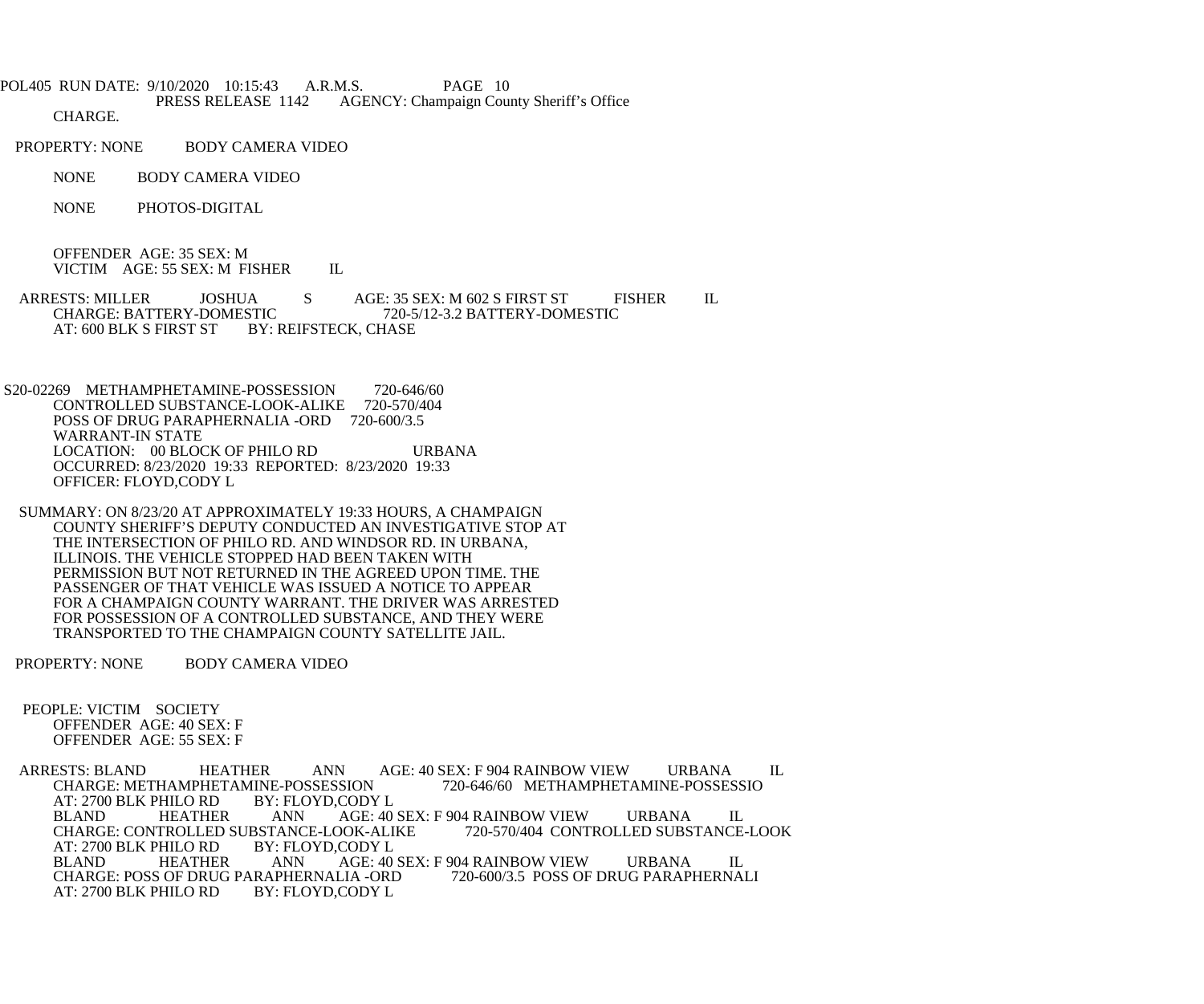POL405 RUN DATE: 9/10/2020 10:15:43 A.R.M.S. PAGE 10<br>PRESS RELEASE 1142 AGENCY: Champaign Cou AGENCY: Champaign County Sheriff's Office

CHARGE.

- PROPERTY: NONE BODY CAMERA VIDEO
	- NONE BODY CAMERA VIDEO
	- NONE PHOTOS-DIGITAL

 OFFENDER AGE: 35 SEX: M VICTIM AGE: 55 SEX: M FISHER IL

ARRESTS: MILLER JOSHUA S AGE: 35 SEX: M 602 S FIRST ST FISHER IL<br>CHARGE: BATTERY-DOMESTIC 720-5/12-3.2 BATTERY-DOMESTIC CHARGE: BATTERY-DOMESTIC 720-5/12-3.2 BATTERY-DOMESTIC<br>AT: 600 BLK S FIRST ST BY: REIFSTECK. CHASE BY: REIFSTECK, CHASE

S20-02269 METHAMPHETAMINE-POSSESSION 720-646/60 CONTROLLED SUBSTANCE-LOOK-ALIKE 720-570/404 POSS OF DRUG PARAPHERNALIA -ORD 720-600/3.5 WARRANT-IN STATE LOCATION: 00 BLOCK OF PHILO RD URBANA OCCURRED: 8/23/2020 19:33 REPORTED: 8/23/2020 19:33 OFFICER: FLOYD,CODY L

 SUMMARY: ON 8/23/20 AT APPROXIMATELY 19:33 HOURS, A CHAMPAIGN COUNTY SHERIFF'S DEPUTY CONDUCTED AN INVESTIGATIVE STOP AT THE INTERSECTION OF PHILO RD. AND WINDSOR RD. IN URBANA, ILLINOIS. THE VEHICLE STOPPED HAD BEEN TAKEN WITH PERMISSION BUT NOT RETURNED IN THE AGREED UPON TIME. THE PASSENGER OF THAT VEHICLE WAS ISSUED A NOTICE TO APPEAR FOR A CHAMPAIGN COUNTY WARRANT. THE DRIVER WAS ARRESTED FOR POSSESSION OF A CONTROLLED SUBSTANCE, AND THEY WERE TRANSPORTED TO THE CHAMPAIGN COUNTY SATELLITE JAIL.

PROPERTY: NONE BODY CAMERA VIDEO

 PEOPLE: VICTIM SOCIETY OFFENDER AGE: 40 SEX: F OFFENDER AGE: 55 SEX: F

ARRESTS: BLAND HEATHER ANN AGE: 40 SEX: F 904 RAINBOW VIEW URBANA IL<br>CHARGE: METHAMPHETAMINE-POSSESSION 720-646/60 METHAMPHETAMINE-POSSESSIO CHARGE: METHAMPHETAMINE-POSSESSION<br>AT: 2700 BLK PHILO RD BY: FLOYD,CODY L AT: 2700 BLK PHILO RD BY: FLORD BLAND HEATHER ANN AGE: 40 SEX: F 904 RAINBOW VIEW URBANA IL<br>DOK-ALIKE 720-570/404 CONTROLLED SUBSTANCE-LOOK CHARGE: CONTROLLED SUBSTANCE-LOOK-ALIKE<br>AT: 2700 BLK PHILO RD BY: FLOYD.CODY L AT: 2700 BLK PHILO RD BY: FLC<br>BLAND HEATHER ANN AGE: 40 SEX: F 904 RAINBOW VIEW URBANA IL<br>LIA -ORD 720-600/3.5 POSS OF DRUG PARAPHERNALI CHARGE: POSS OF DRUG PARAPHERNALIA -ORD<br>AT: 2700 BLK PHILO RD BY: FLOYD,CODY L AT: 2700 BLK PHILO RD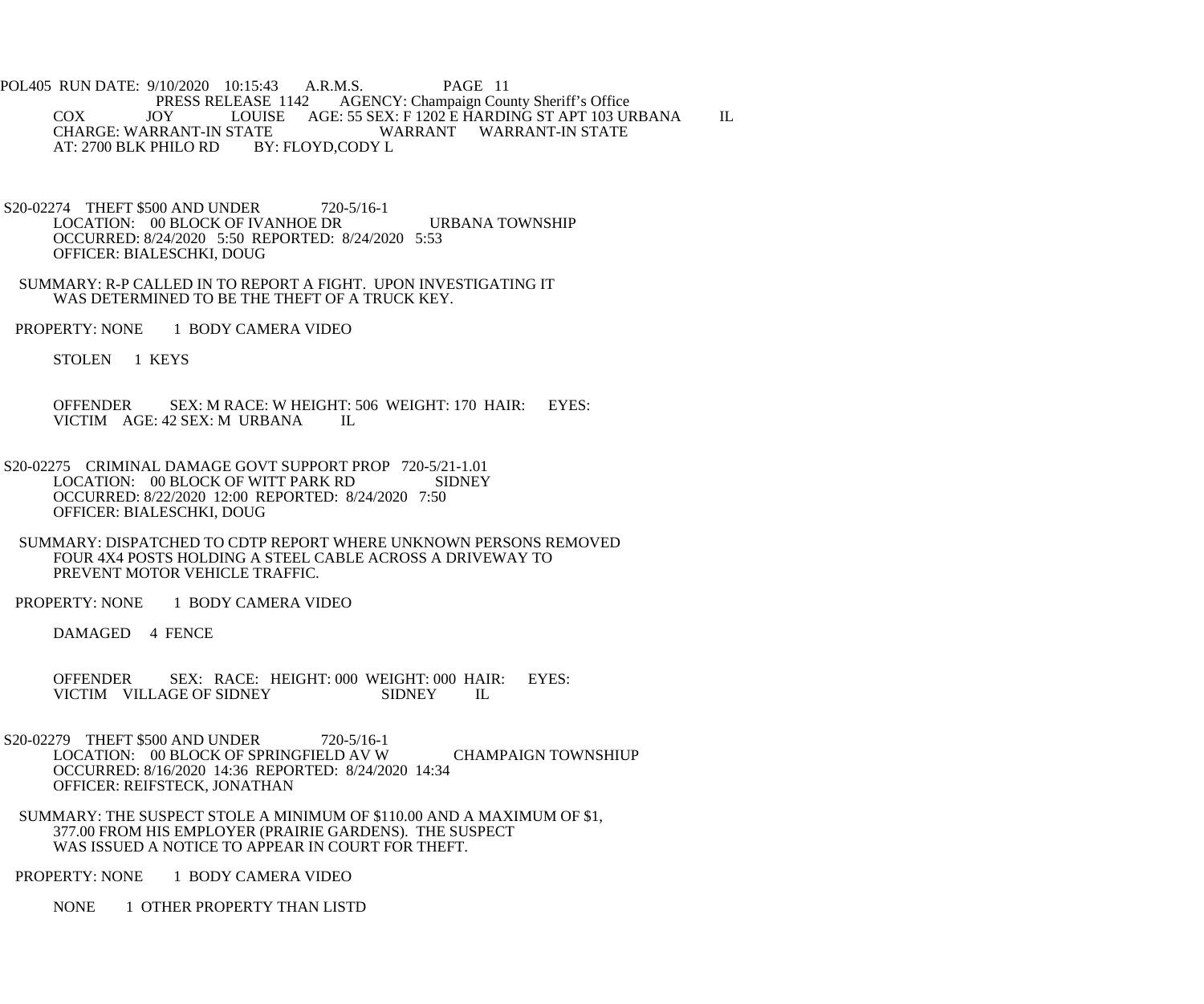POL405 RUN DATE: 9/10/2020 10:15:43 A.R.M.S. PAGE 11<br>PRESS RELEASE 1142 AGENCY: Champaign Cou PRESS RELEASE 1142 AGENCY: Champaign County Sheriff's Office<br>JOY LOUISE AGE: 55 SEX: F 1202 E HARDING ST APT 103 UI COX JOY LOUISE AGE: 55 SEX: F 1202 E HARDING ST APT 103 URBANA IL CHARGE: WARRANT-IN STATE WARRANT WARRANT-IN STATE VARRANT WARRANT-IN STATE<br>BY: FLOYD,CODY L AT: 2700 BLK PHILO RD

- S20-02274 THEFT \$500 AND UNDER 720-5/16-1 LOCATION: 00 BLOCK OF IVANHOE DR URBANA TOWNSHIP OCCURRED: 8/24/2020 5:50 REPORTED: 8/24/2020 5:53 OFFICER: BIALESCHKI, DOUG
- SUMMARY: R-P CALLED IN TO REPORT A FIGHT. UPON INVESTIGATING IT WAS DETERMINED TO BE THE THEFT OF A TRUCK KEY.
- PROPERTY: NONE 1 BODY CAMERA VIDEO
	- STOLEN 1 KEYS
	- OFFENDER SEX: M RACE: W HEIGHT: 506 WEIGHT: 170 HAIR: EYES: VICTIM AGE: 42 SEX: M URBANA IL
- S20-02275 CRIMINAL DAMAGE GOVT SUPPORT PROP 720-5/21-1.01<br>LOCATION: 00 BLOCK OF WITT PARK RD SIDNEY LOCATION: 00 BLOCK OF WITT PARK RD OCCURRED: 8/22/2020 12:00 REPORTED: 8/24/2020 7:50 OFFICER: BIALESCHKI, DOUG
- SUMMARY: DISPATCHED TO CDTP REPORT WHERE UNKNOWN PERSONS REMOVED FOUR 4X4 POSTS HOLDING A STEEL CABLE ACROSS A DRIVEWAY TO PREVENT MOTOR VEHICLE TRAFFIC.
- PROPERTY: NONE 1 BODY CAMERA VIDEO

DAMAGED 4 FENCE

- OFFENDER SEX: RACE: HEIGHT: 000 WEIGHT: 000 HAIR: EYES:<br>VICTIM VILLAGE OF SIDNEY SIDNEY IL VICTIM VILLAGE OF SIDNEY SIDNEY IL
- S20-02279 THEFT \$500 AND UNDER 720-5/16-1 LOCATION: 00 BLOCK OF SPRINGFIELD AV W CHAMPAIGN TOWNSHIUP OCCURRED: 8/16/2020 14:36 REPORTED: 8/24/2020 14:34 OFFICER: REIFSTECK, JONATHAN
	- SUMMARY: THE SUSPECT STOLE A MINIMUM OF \$110.00 AND A MAXIMUM OF \$1, 377.00 FROM HIS EMPLOYER (PRAIRIE GARDENS). THE SUSPECT WAS ISSUED A NOTICE TO APPEAR IN COURT FOR THEFT.

PROPERTY: NONE 1 BODY CAMERA VIDEO

NONE 1 OTHER PROPERTY THAN LISTD